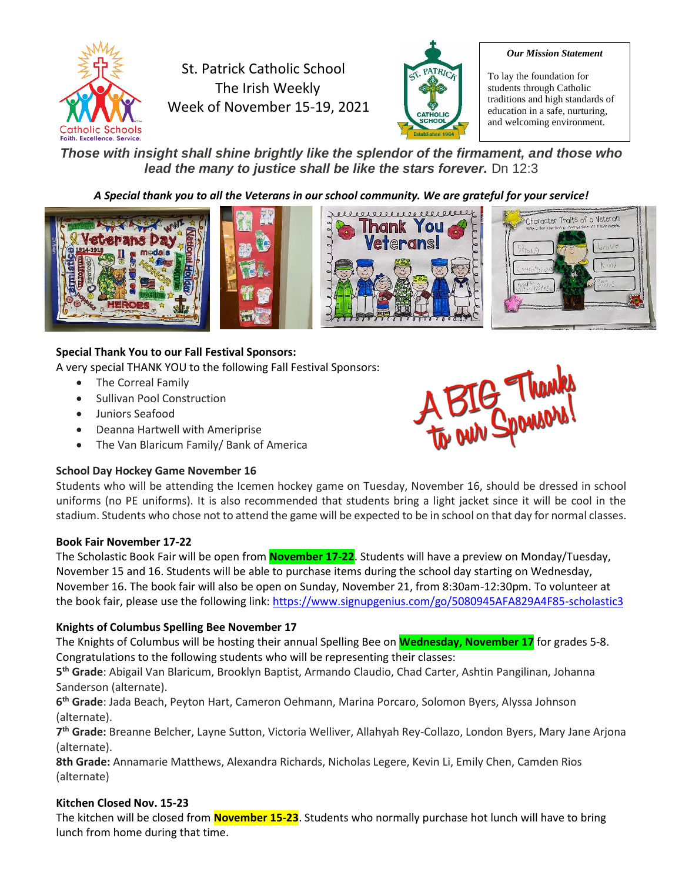

St. Patrick Catholic School The Irish Weekly Week of November 15-19, 2021



#### *Our Mission Statement*

To lay the foundation for students through Catholic traditions and high standards of education in a safe, nurturing, and welcoming environment.

*Those with insight shall shine brightly like the splendor of the firmament, and those who lead the many to justice shall be like the stars forever.* Dn 12:3

# *A Special thank you to all the Veterans in our school community. We are grateful for your service!*



# **Special Thank You to our Fall Festival Sponsors:**

A very special THANK YOU to the following Fall Festival Sponsors:

- The Correal Family
- Sullivan Pool Construction
- Juniors Seafood
- Deanna Hartwell with Ameriprise
- The Van Blaricum Family/ Bank of America

# **School Day Hockey Game November 16**



Students who will be attending the Icemen hockey game on Tuesday, November 16, should be dressed in school uniforms (no PE uniforms). It is also recommended that students bring a light jacket since it will be cool in the stadium. Students who chose not to attend the game will be expected to be in school on that day for normal classes.

# **Book Fair November 17-22**

The Scholastic Book Fair will be open from **November 17-22**. Students will have a preview on Monday/Tuesday, November 15 and 16. Students will be able to purchase items during the school day starting on Wednesday, November 16. The book fair will also be open on Sunday, November 21, from 8:30am-12:30pm. To volunteer at the book fair, please use the following link:<https://www.signupgenius.com/go/5080945AFA829A4F85-scholastic3>

# **Knights of Columbus Spelling Bee November 17**

The Knights of Columbus will be hosting their annual Spelling Bee on **Wednesday, November 17** for grades 5-8. Congratulations to the following students who will be representing their classes:

**5 th Grade**: Abigail Van Blaricum, Brooklyn Baptist, Armando Claudio, Chad Carter, Ashtin Pangilinan, Johanna Sanderson (alternate).

**6 th Grade**: Jada Beach, Peyton Hart, Cameron Oehmann, Marina Porcaro, Solomon Byers, Alyssa Johnson (alternate).

**7 th Grade:** Breanne Belcher, Layne Sutton, Victoria Welliver, Allahyah Rey-Collazo, London Byers, Mary Jane Arjona (alternate).

**8th Grade:** Annamarie Matthews, Alexandra Richards, Nicholas Legere, Kevin Li, Emily Chen, Camden Rios (alternate)

# **Kitchen Closed Nov. 15-23**

The kitchen will be closed from **November 15-23**. Students who normally purchase hot lunch will have to bring lunch from home during that time.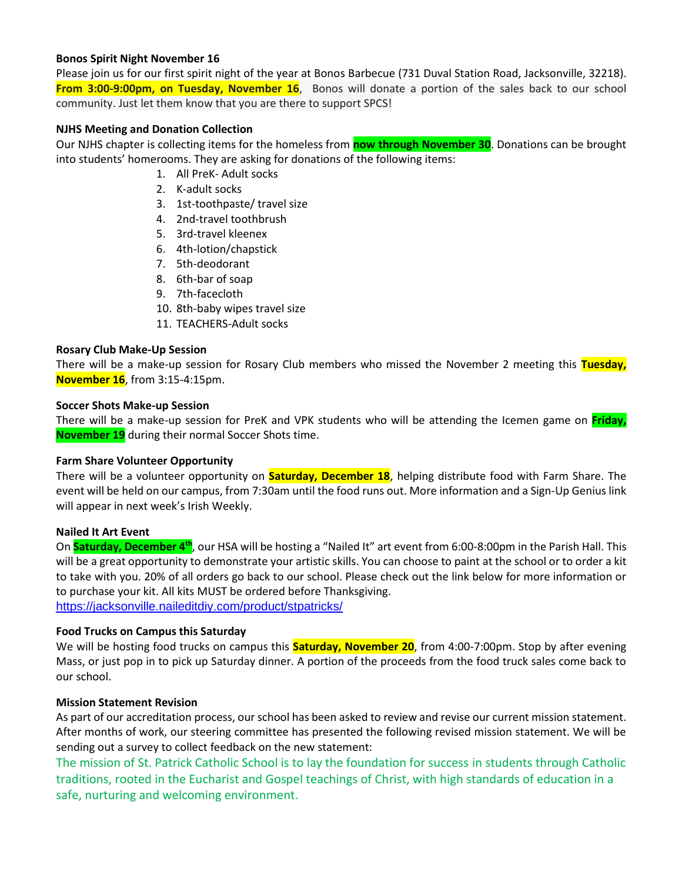## **Bonos Spirit Night November 16**

Please join us for our first spirit night of the year at Bonos Barbecue (731 Duval Station Road, Jacksonville, 32218). **From 3:00-9:00pm, on Tuesday, November 16**, Bonos will donate a portion of the sales back to our school community. Just let them know that you are there to support SPCS!

# **NJHS Meeting and Donation Collection**

Our NJHS chapter is collecting items for the homeless from **now through November 30**. Donations can be brought into students' homerooms. They are asking for donations of the following items:

- 1. All PreK- Adult socks
- 2. K-adult socks
- 3. 1st-toothpaste/ travel size
- 4. 2nd-travel toothbrush
- 5. 3rd-travel kleenex
- 6. 4th-lotion/chapstick
- 7. 5th-deodorant
- 8. 6th-bar of soap
- 9. 7th-facecloth
- 10. 8th-baby wipes travel size
- 11. TEACHERS-Adult socks

## **Rosary Club Make-Up Session**

There will be a make-up session for Rosary Club members who missed the November 2 meeting this **Tuesday, November 16**, from 3:15-4:15pm.

#### **Soccer Shots Make-up Session**

There will be a make-up session for PreK and VPK students who will be attending the Icemen game on **Friday, November 19** during their normal Soccer Shots time.

## **Farm Share Volunteer Opportunity**

There will be a volunteer opportunity on **Saturday, December 18**, helping distribute food with Farm Share. The event will be held on our campus, from 7:30am until the food runs out. More information and a Sign-Up Genius link will appear in next week's Irish Weekly.

## **Nailed It Art Event**

On **Saturday, December 4th**, our HSA will be hosting a "Nailed It" art event from 6:00-8:00pm in the Parish Hall. This will be a great opportunity to demonstrate your artistic skills. You can choose to paint at the school or to order a kit to take with you. 20% of all orders go back to our school. Please check out the link below for more information or to purchase your kit. All kits MUST be ordered before Thanksgiving. <https://jacksonville.naileditdiy.com/product/stpatricks/>

## **Food Trucks on Campus this Saturday**

We will be hosting food trucks on campus this **Saturday, November 20**, from 4:00-7:00pm. Stop by after evening Mass, or just pop in to pick up Saturday dinner. A portion of the proceeds from the food truck sales come back to our school.

## **Mission Statement Revision**

As part of our accreditation process, our school has been asked to review and revise our current mission statement. After months of work, our steering committee has presented the following revised mission statement. We will be sending out a survey to collect feedback on the new statement:

The mission of St. Patrick Catholic School is to lay the foundation for success in students through Catholic traditions, rooted in the Eucharist and Gospel teachings of Christ, with high standards of education in a safe, nurturing and welcoming environment.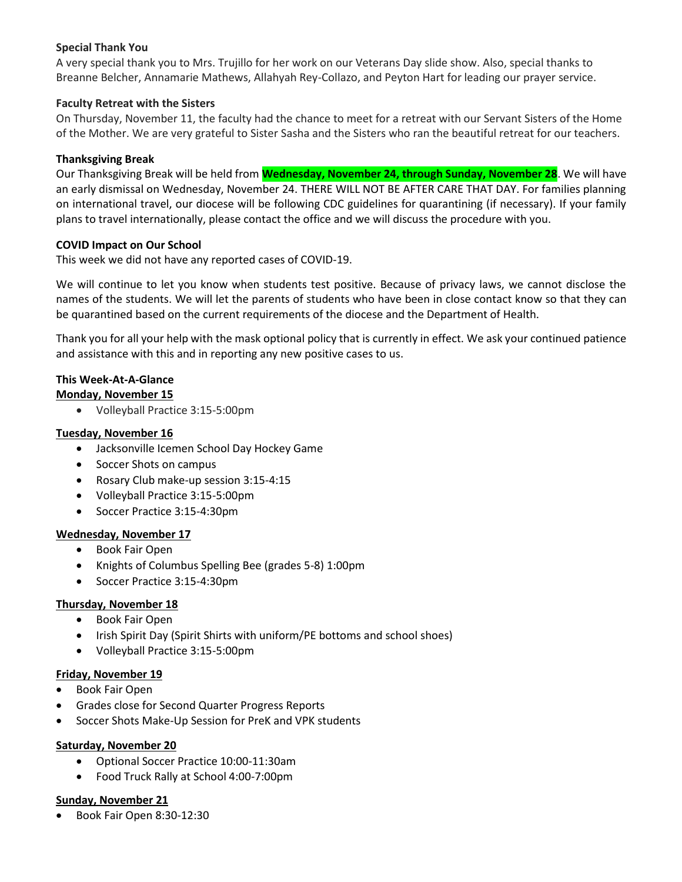# **Special Thank You**

A very special thank you to Mrs. Trujillo for her work on our Veterans Day slide show. Also, special thanks to Breanne Belcher, Annamarie Mathews, Allahyah Rey-Collazo, and Peyton Hart for leading our prayer service.

# **Faculty Retreat with the Sisters**

On Thursday, November 11, the faculty had the chance to meet for a retreat with our Servant Sisters of the Home of the Mother. We are very grateful to Sister Sasha and the Sisters who ran the beautiful retreat for our teachers.

## **Thanksgiving Break**

Our Thanksgiving Break will be held from **Wednesday, November 24, through Sunday, November 28**. We will have an early dismissal on Wednesday, November 24. THERE WILL NOT BE AFTER CARE THAT DAY. For families planning on international travel, our diocese will be following CDC guidelines for quarantining (if necessary). If your family plans to travel internationally, please contact the office and we will discuss the procedure with you.

# **COVID Impact on Our School**

This week we did not have any reported cases of COVID-19.

We will continue to let you know when students test positive. Because of privacy laws, we cannot disclose the names of the students. We will let the parents of students who have been in close contact know so that they can be quarantined based on the current requirements of the diocese and the Department of Health.

Thank you for all your help with the mask optional policy that is currently in effect. We ask your continued patience and assistance with this and in reporting any new positive cases to us.

# **This Week-At-A-Glance**

# **Monday, November 15**

• Volleyball Practice 3:15-5:00pm

# **Tuesday, November 16**

- Jacksonville Icemen School Day Hockey Game
- Soccer Shots on campus
- Rosary Club make-up session 3:15-4:15
- Volleyball Practice 3:15-5:00pm
- Soccer Practice 3:15-4:30pm

## **Wednesday, November 17**

- Book Fair Open
- Knights of Columbus Spelling Bee (grades 5-8) 1:00pm
- Soccer Practice 3:15-4:30pm

# **Thursday, November 18**

- Book Fair Open
- Irish Spirit Day (Spirit Shirts with uniform/PE bottoms and school shoes)
- Volleyball Practice 3:15-5:00pm

## **Friday, November 19**

- Book Fair Open
- Grades close for Second Quarter Progress Reports
- Soccer Shots Make-Up Session for PreK and VPK students

## **Saturday, November 20**

- Optional Soccer Practice 10:00-11:30am
- Food Truck Rally at School 4:00-7:00pm

## **Sunday, November 21**

• Book Fair Open 8:30-12:30